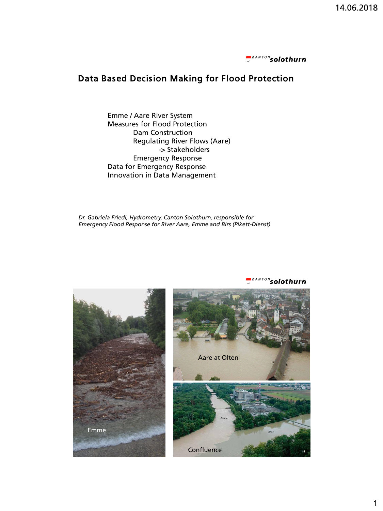

# Data Based Decision Making for Flood Protection

Emme / Aare River System Measures for Flood Protection Dam Construction Regulating River Flows (Aare) -> Stakeholders Emergency Response Data for Emergency Response Innovation in Data Management

*Dr. Gabriela Friedl, Hydrometry, Canton Solothurn, responsible for Emergency Flood Response for River Aare, Emme and Birs (Pikett-Dienst)*



<sup>NTON</sup>solothurn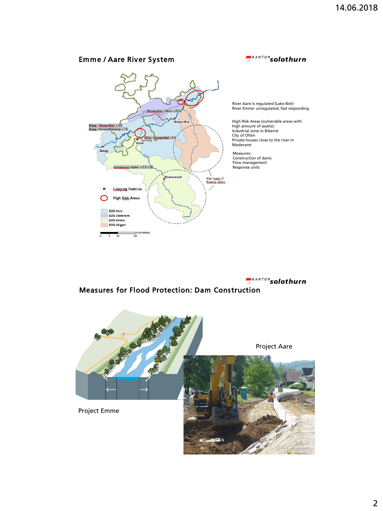#### **EXANTONsolothurn** Emme / Aare River System River Aare is regulated (Lake Biel) River Emme: unregulated, fast responding High Risk Areas (vulnerable areas with high amount of assets): Industrial zone in Biberist City of Olten Private houses close to the river in Srügg - Murgenthal: ~ 2 h  $ma \sim 11$ Niederamt **Brügg** Measures: Construction of dams Flow management Response units Emmenmatt-Wyler: ~1.5 - 2 High loads of<br>fleating debris. **Gauging Stations** High Risk Areas EZG Aare<br>| EZG Duennern EZG Emme **EZG Wigger** Kilometers<br>20 5  $10$

*<u>EKANTON</u>* solothurn

## Measures for Flood Protection: Dam Construction

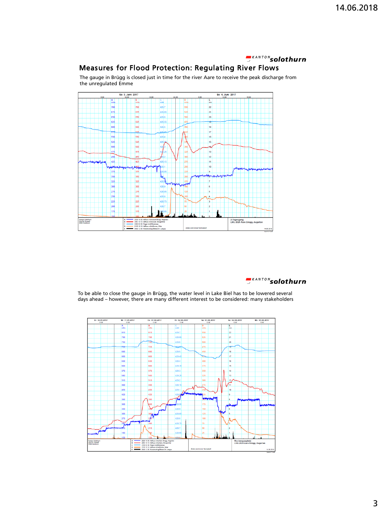## *<u>EKANTON</u>* solothurn

## Measures for Flood Protection: Regulating River Flows

Sa 3. Juni 2017 So 4. Juni 2017  $\overline{70}$ 700 429.  $\overline{22}$ **ERS**  $\vert_{67}$ 675 429.6 525  $21$ 650 650 429.6 500 20 625  $\vert_{62}$ 429.5 600  $18$ 600 429.5 575  $\overline{17}$ 550  $429.$  $16$ 55 15 525 52 500 50 475 13 450  $\frac{1}{12}$  $\overline{AB}$  $\overline{42}$  $\overline{11}$  $10$ wœ 350 325 32 300  $30$ 275  $27$ 250  $25$ 225 225 200 200 175 Kanton Solothun<br>Amt für Umwelt<br>4509 Solothum  $2029 10 3$ <br> $2083 10 1$ <br> $2208 02 0$ <br> $2155 10 1$ 2.<br>Tagesgang<br>LHG 2029 Aare Brügg, Aegerter

The gauge in Brügg is closed just in time for the river Aare to receive the peak discharge from the unregulated Emme



To be able to close the gauge in Brügg, the water level in Lake Biel has to be lowered several days ahead – however, there are many different interest to be considered: many stakeholders

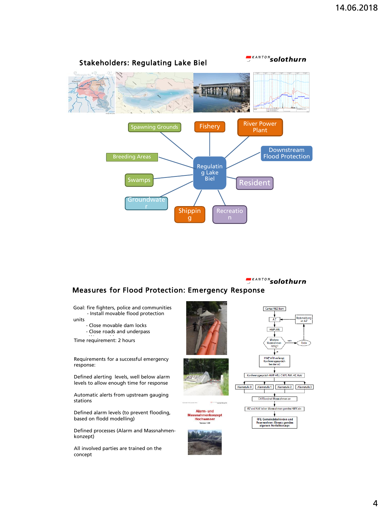

*<u>EKANTON</u>* solothurn

#### Measures for Flood Protection: Emergency Response

Goal: fire fighters, police and communities - Install movable flood protection

units

- Close movable dam locks - Close roads and underpass

Time requirement: 2 hours

Requirements for a successful emergency response:

Defined alerting levels, well below alarm levels to allow enough time for response

Automatic alerts from upstream gauging stations

Defined alarm levels (to prevent flooding, based on flodd modelling)

Defined processes (Alarm and Massnahmenkonzept)

All involved parties are trained on the concept





Alarm- und snahmenkonzept<br>Hochwasser